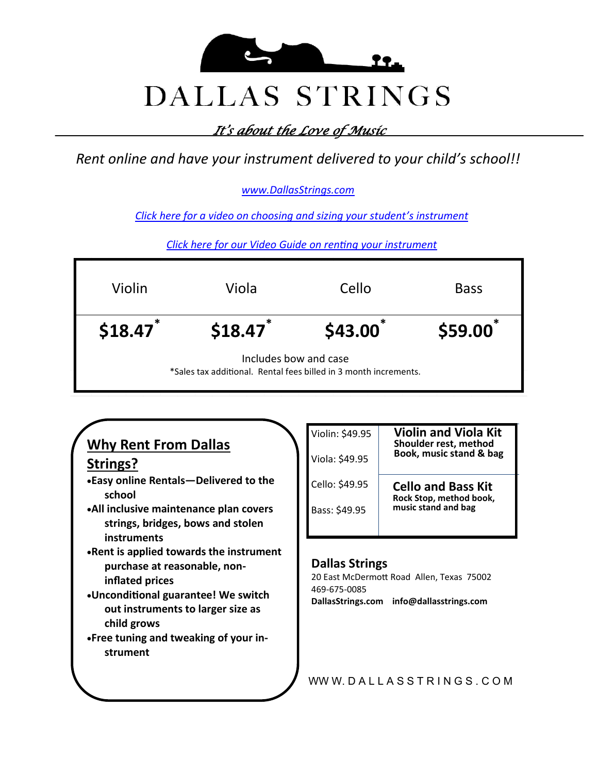

*It's about the Love of Music* 

*Rent online and have your instrument delivered to your child's school!!*

#### *[www.DallasStrings.com](https://www.dallasstrings.com/t-instruments-for-rent.aspx)*

*[Click here for a video on choosing and sizing your student](http://www.youtube.com/watch?v=V_1KCkPdI2s&list=PLProbc6W4L7Jq6pOoFUhkMllNXof-cGB0)'s instrument*

*[Click here for our Video Guide on renting your instrument](https://www.youtube.com/watch?v=fxN8lDOJUdM&t=4s)*

| Violin                                                                                    | Viola   | Cello   | <b>Bass</b> |
|-------------------------------------------------------------------------------------------|---------|---------|-------------|
| \$18.47                                                                                   | \$18.47 | \$43.00 | \$59.00     |
| Includes bow and case<br>*Sales tax additional. Rental fees billed in 3 month increments. |         |         |             |

#### WW W. DALLASSTRINGS. COM **Why Rent From Dallas Strings?** •**Easy online Rentals—Delivered to the school** •**All inclusive maintenance plan covers strings, bridges, bows and stolen instruments** •**Rent is applied towards the instrument purchase at reasonable, noninflated prices** •**Unconditional guarantee! We switch out instruments to larger size as child grows** •**Free tuning and tweaking of your instrument** Violin: \$49.95 **Violin and Viola Kit Shoulder rest, method Book, music stand & bag** Viola: \$49.95 Cello: \$49.95 **Cello and Bass Kit Rock Stop, method book, Bass: \$49.95 | music stand and bag Dallas Strings** 20 East McDermott Road Allen, Texas 75002 469-675-0085 **DallasStrings.com info@dallasstrings.com**